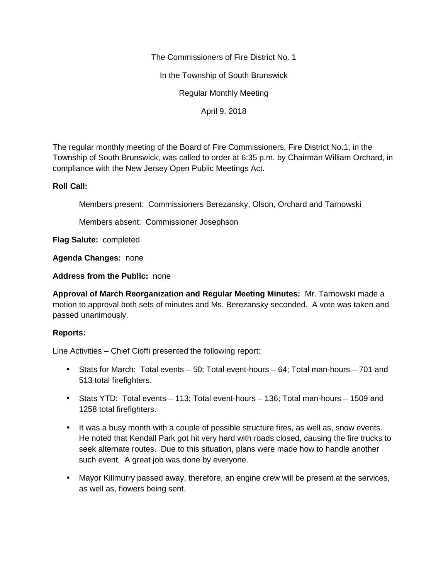The Commissioners of Fire District No. 1

In the Township of South Brunswick

Regular Monthly Meeting

April 9, 2018

The regular monthly meeting of the Board of Fire Commissioners, Fire District No.1, in the Township of South Brunswick, was called to order at 6:35 p.m. by Chairman William Orchard, in compliance with the New Jersey Open Public Meetings Act.

## **Roll Call:**

Members present: Commissioners Berezansky, Olson, Orchard and Tarnowski

Members absent: Commissioner Josephson

**Flag Salute:** completed

**Agenda Changes:** none

**Address from the Public:** none

**Approval of March Reorganization and Regular Meeting Minutes:** Mr. Tarnowski made a motion to approval both sets of minutes and Ms. Berezansky seconded. A vote was taken and passed unanimously.

## **Reports:**

Line Activities – Chief Cioffi presented the following report:

- Stats for March: Total events 50; Total event-hours 64; Total man-hours 701 and 513 total firefighters.
- Stats YTD: Total events 113; Total event-hours 136; Total man-hours 1509 and 1258 total firefighters.
- It was a busy month with a couple of possible structure fires, as well as, snow events. He noted that Kendall Park got hit very hard with roads closed, causing the fire trucks to seek alternate routes. Due to this situation, plans were made how to handle another such event. A great job was done by everyone.
- Mayor Killmurry passed away, therefore, an engine crew will be present at the services, as well as, flowers being sent.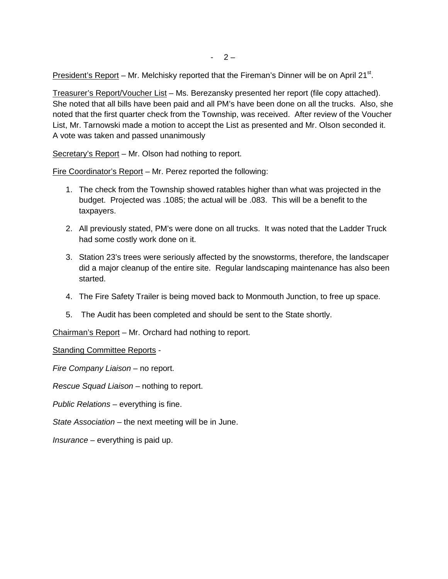President's Report – Mr. Melchisky reported that the Fireman's Dinner will be on April 21 $^{\rm st}$ .

Treasurer's Report/Voucher List – Ms. Berezansky presented her report (file copy attached). She noted that all bills have been paid and all PM's have been done on all the trucks. Also, she noted that the first quarter check from the Township, was received. After review of the Voucher List, Mr. Tarnowski made a motion to accept the List as presented and Mr. Olson seconded it. A vote was taken and passed unanimously

Secretary's Report – Mr. Olson had nothing to report.

Fire Coordinator's Report – Mr. Perez reported the following:

- 1. The check from the Township showed ratables higher than what was projected in the budget. Projected was .1085; the actual will be .083. This will be a benefit to the taxpayers.
- 2. All previously stated, PM's were done on all trucks. It was noted that the Ladder Truck had some costly work done on it.
- 3. Station 23's trees were seriously affected by the snowstorms, therefore, the landscaper did a major cleanup of the entire site. Regular landscaping maintenance has also been started.
- 4. The Fire Safety Trailer is being moved back to Monmouth Junction, to free up space.
- 5. The Audit has been completed and should be sent to the State shortly.

Chairman's Report – Mr. Orchard had nothing to report.

Standing Committee Reports -

*Fire Company Liaison –* no report.

*Rescue Squad Liaison –* nothing to report.

*Public Relations –* everything is fine.

*State Association –* the next meeting will be in June.

*Insurance –* everything is paid up.